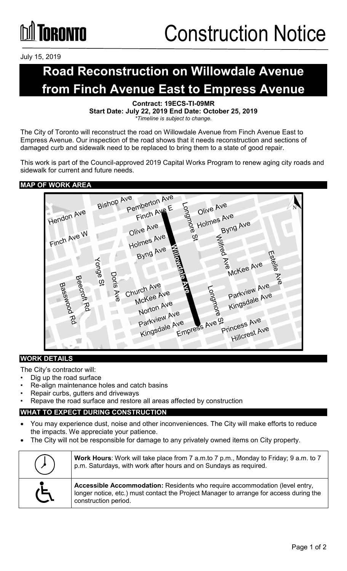# **TORONTO**

July 15, 2019

### **Road Reconstruction on Willowdale Avenue from Finch Avenue East to Empress Avenue**

**Contract: 19ECS-TI-09MR Start Date: July 22, 2019 End Date: October 25, 2019** *\*Timeline is subject to change.*

The City of Toronto will reconstruct the road on Willowdale Avenue from Finch Avenue East to Empress Avenue. Our inspection of the road shows that it needs reconstruction and sections of damaged curb and sidewalk need to be replaced to bring them to a state of good repair.

This work is part of the Council-approved 2019 Capital Works Program to renew aging city roads and sidewalk for current and future needs.

#### **MAP OF WORK AREA**



#### **WORK DETAILS**

The City's contractor will:

- Dig up the road surface
- Re-align maintenance holes and catch basins
- Repair curbs, gutters and driveways
- Repave the road surface and restore all areas affected by construction

#### **WHAT TO EXPECT DURING CONSTRUCTION**

- You may experience dust, noise and other inconveniences. The City will make efforts to reduce the impacts. We appreciate your patience.
- The City will not be responsible for damage to any privately owned items on City property.

|                | Work Hours: Work will take place from 7 a.m.to 7 p.m., Monday to Friday; 9 a.m. to 7<br>p.m. Saturdays, with work after hours and on Sundays as required.                                     |
|----------------|-----------------------------------------------------------------------------------------------------------------------------------------------------------------------------------------------|
| $\overline{G}$ | Accessible Accommodation: Residents who require accommodation (level entry,<br>longer notice, etc.) must contact the Project Manager to arrange for access during the<br>construction period. |